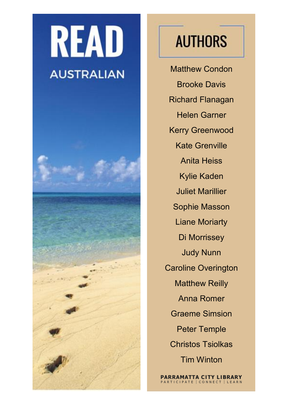## **READ AUSTRALIAN**



## **AUTHORS**

Matthew Condon Brooke Davis Richard Flanagan Helen Garner Kerry Greenwood Kate Grenville Anita Heiss Kylie Kaden Juliet Marillier Sophie Masson Liane Moriarty Di Morrissey Judy Nunn Caroline Overington Matthew Reilly Anna Romer Graeme Simsion Peter Temple Christos Tsiolkas Tim Winton

**PARRAMATTA CITY LIBRARY**<br>PARTICIPATE CONNECT LEARN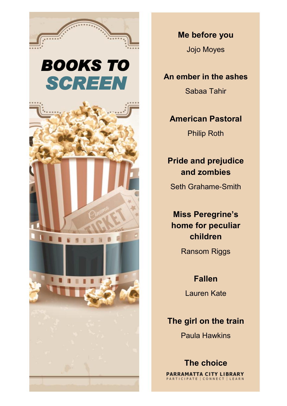

## *SCREEN BOOKS TO*



**Me before you**

Jojo Moyes

**An ember in the ashes**

Sabaa Tahir

#### **American Pastoral** Philip Roth

#### **Pride and prejudice and zombies**

Seth Grahame-Smith

**Miss Peregrine's home for peculiar children**

Ransom Riggs

**Fallen** 

Lauren Kate

#### **The girl on the train**

Paula Hawkins

**The choice**PARRAMATTA CITY LIBRARY PARTICIPATE | CONNECT | LEARN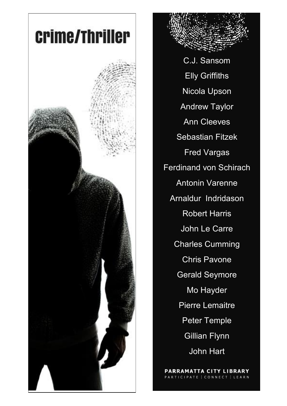

C.J. Sansom Elly Griffiths Nicola Upson Andrew Taylor Ann Cleeves Sebastian Fitzek Fred Vargas Ferdinand von Schirach Antonin Varenne Arnaldur Indridason Robert Harris John Le Carre Charles Cumming Chris Pavone Gerald Seymore Mo Hayder Pierre Lemaitre Peter Temple Gillian Flynn John Hart

PARRAMATTA CITY LIBRARY RTICIPATE | CONNECT | LEARN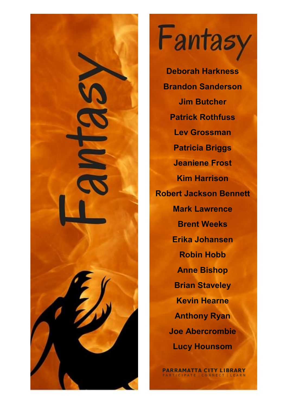

Fantasy

**Deborah Harkness Brandon Sanderson Jim Butcher Patrick Rothfuss Lev Grossman Patricia Briggs Jeaniene Frost Kim Harrison Robert Jackson Bennett Mark Lawrence Brent Weeks Erika Johansen Robin Hobb Anne Bishop Brian Staveley Kevin Hearne Anthony Ryan Joe Abercrombie Lucy Hounsom**

**PARRAMATTA CITY LIBRARY** PARTICIPATE | CONNECT | LEARN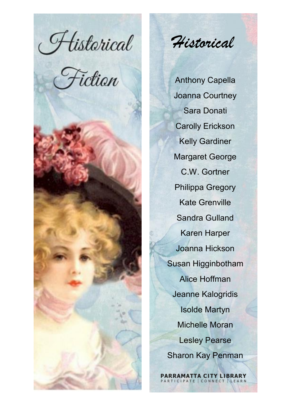Historical<br>Fiction





*Historical* 

Anthony Capella Joanna Courtney Sara Donati Carolly Erickson Kelly Gardiner Margaret George C.W. Gortner Philippa Gregory Kate Grenville Sandra Gulland Karen Harper Joanna Hickson Susan Higginbotham Alice Hoffman Jeanne Kalogridis Isolde Martyn Michelle Moran Lesley Pearse Sharon Kay Penman

**PARRAMATTA CITY LIBRARY**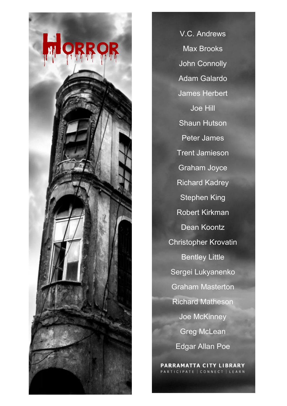

V.C. Andrews Max Brooks John Connolly Adam Galardo James Herbert Joe Hill Shaun Hutson Peter James Trent Jamieson Graham Joyce Richard Kadrey Stephen King Robert Kirkman Dean Koontz Christopher Krovatin Bentley Little Sergei Lukyanenko Graham Masterton Richard Matheson Joe McKinney Greg McLean Edgar Allan Poe

PARRAMATTA CITY LIBRARY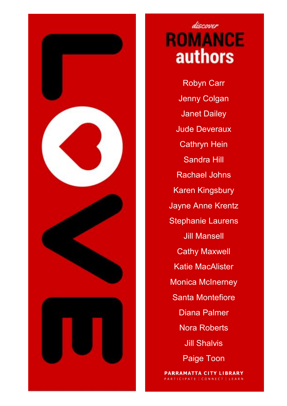

### discover **ROMANCE authors**

Robyn Carr Jenny Colgan Janet Dailey Jude Deveraux Cathryn Hein Sandra Hill Rachael Johns Karen Kingsbury Jayne Anne Krentz Stephanie Laurens Jill Mansell Cathy Maxwell Katie MacAlister Monica McInerney Santa Montefiore Diana Palmer Nora Roberts Jill Shalvis Paige Toon

**PARRAMATTA CITY LIBRARY** PARTICIPATE | CONNECT | LEARN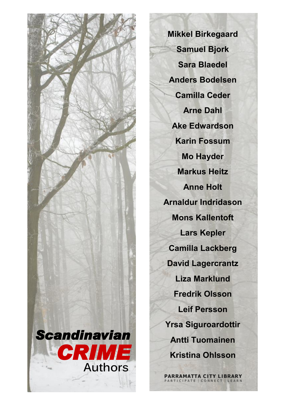

**Mikkel Birkegaard Samuel Bjork Sara Blaedel Anders Bodelsen Camilla Ceder Arne Dahl Ake Edwardson Karin Fossum Mo Hayder Markus Heitz Anne Holt Arnaldur Indridason Mons Kallentoft Lars Kepler Camilla Lackberg David Lagercrantz Liza Marklund Fredrik Olsson Leif Persson Yrsa Siguroardottir Antti Tuomainen Kristina Ohlsson**

PARRAMATTA CITY LIBRARY ATE CONN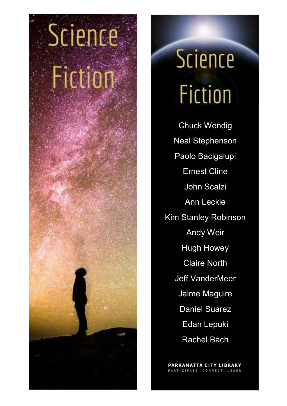

# **Science Fiction**

Chuck Wendig Neal Stephenson Paolo Bacigalupi Ernest Cline John Scalzi Ann Leckie Kim Stanley Robinson Andy Weir Hugh Howey Claire North Jeff VanderMeer Jaime Maguire Daniel Suarez Edan Lepuki Rachel Bach

PARRAMATTA CITY LIBRARY PATE | CONNECT | LEARN